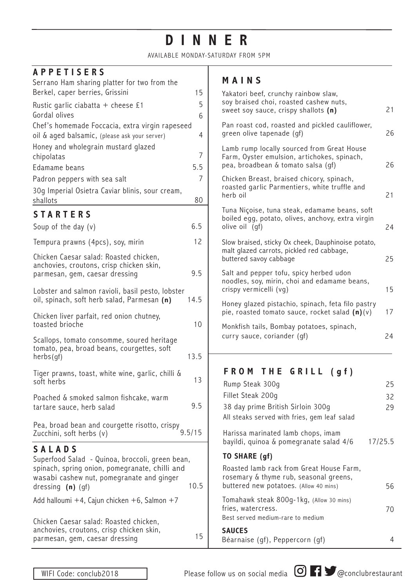# **DINNER**

AVAILABLE MONDAY-SATURDAY FROM 5PM

#### **APPETISERS**

| Serrano Ham sharing platter for two from the                                                                                                                                                                                                 |      |
|----------------------------------------------------------------------------------------------------------------------------------------------------------------------------------------------------------------------------------------------|------|
| Berkel, caper berries, Grissini                                                                                                                                                                                                              | 15   |
| Rustic garlic ciabatta $+$ cheese £1                                                                                                                                                                                                         | 5    |
| Gordal olives<br>Chef's homemade Foccacia, extra virgin rapeseed                                                                                                                                                                             | 6    |
| oil & aged balsamic, (please ask your server)                                                                                                                                                                                                | 4    |
| Honey and wholegrain mustard glazed                                                                                                                                                                                                          |      |
| chipolatas                                                                                                                                                                                                                                   | 7    |
| Edamame beans                                                                                                                                                                                                                                | 5.5  |
| Padron peppers with sea salt                                                                                                                                                                                                                 | 7    |
| 30g Imperial Osietra Caviar blinis, sour cream,                                                                                                                                                                                              |      |
| shallots                                                                                                                                                                                                                                     | 80   |
| <b>STARTERS</b>                                                                                                                                                                                                                              |      |
| Soup of the day $(v)$                                                                                                                                                                                                                        | 6.5  |
| Tempura prawns (4pcs), soy, mirin                                                                                                                                                                                                            | 12   |
| Chicken Caesar salad: Roasted chicken,<br>anchovies, croutons, crisp chicken skin,                                                                                                                                                           |      |
| parmesan, gem, caesar dressing                                                                                                                                                                                                               | 9.5  |
| Lobster and salmon ravioli, basil pesto, lobster                                                                                                                                                                                             | 14.5 |
| oil, spinach, soft herb salad, Parmesan (n)                                                                                                                                                                                                  |      |
| Chicken liver parfait, red onion chutney,<br>toasted brioche                                                                                                                                                                                 | 10   |
| Scallops, tomato consomme, soured heritage                                                                                                                                                                                                   |      |
| tomato, pea, broad beans, courgettes, soft<br>herbs(gf)                                                                                                                                                                                      |      |
| Tiger prawns, toast, white wine, garlic, chilli &<br>soft herbs                                                                                                                                                                              | 13   |
| Poached & smoked salmon fishcake, warm<br>tartare sauce, herb salad                                                                                                                                                                          | 9.5  |
| Pea, broad bean and courgette risotto, crispy<br>9.5/15<br>Zucchini, soft herbs (v)                                                                                                                                                          |      |
| <b>SALADS</b><br>Superfood Salad - Quinoa, broccoli, green bean,<br>spinach, spring onion, pomegranate, chilli and<br>wasabi cashew nut, pomegranate and ginger<br>dressing (n) (gf)<br>Add halloumi $+4$ , Cajun chicken $+6$ , Salmon $+7$ | 10.5 |
| Chicken Caesar salad: Roasted chicken,                                                                                                                                                                                                       |      |

### **MAINS**

| 15<br>5<br>6   | Yakatori beef, crunchy rainbow slaw,<br>soy braised choi, roasted cashew nuts,<br>sweet soy sauce, crispy shallots (n)          | 21       |
|----------------|---------------------------------------------------------------------------------------------------------------------------------|----------|
| $\overline{4}$ | Pan roast cod, roasted and pickled cauliflower,<br>green olive tapenade (gf)                                                    | 26       |
| 7<br>5.5       | Lamb rump locally sourced from Great House<br>Farm, Oyster emulsion, artichokes, spinach,<br>pea, broadbean & tomato salsa (gf) | 26       |
| 7<br>80        | Chicken Breast, braised chicory, spinach,<br>roasted garlic Parmentiers, white truffle and<br>herb oil                          | 21       |
| 5.5            | Tuna Niçoise, tuna steak, edamame beans, soft<br>boiled egg, potato, olives, anchovy, extra virgin<br>olive oil (gf)            | 24       |
| 12             | Slow braised, sticky Ox cheek, Dauphinoise potato,<br>malt glazed carrots, pickled red cabbage,<br>buttered savoy cabbage       | 25       |
| , 5            | Salt and pepper tofu, spicy herbed udon<br>noodles, soy, mirin, choi and edamame beans,<br>crispy vermicelli (vg)               | 15       |
| .5             | Honey glazed pistachio, spinach, feta filo pastry<br>pie, roasted tomato sauce, rocket salad $(n)(v)$                           | 17       |
| 10             | Monkfish tails, Bombay potatoes, spinach,<br>curry sauce, coriander (gf)                                                        | 24       |
| .5             |                                                                                                                                 |          |
| 13             | FROM THE GRILL (gf)                                                                                                             |          |
|                | Rump Steak 300g<br>Fillet Steak 200q                                                                                            | 25<br>32 |
| 5.(            | 38 day prime British Sirloin 300g<br>All steaks served with fries, gem leaf salad                                               | 29       |
| 15             | Harissa marinated lamb chops, imam<br>bayildi, quinoa & pomegranate salad 4/6                                                   | 17/25.5  |
|                | TO SHARE (gf)                                                                                                                   |          |
| 0.5            | Roasted lamb rack from Great House Farm,<br>rosemary & thyme rub, seasonal greens,<br>buttered new potatoes. (Allow 40 mins)    | 56       |
|                | Tomahawk steak 800g-1kg, (Allow 30 mins)                                                                                        |          |

**SAUCES** Béarnaise (gf), Peppercorn (gf) 15

anchovies, croutons, crisp chicken skin, parmesan, gem, caesar dressing

fries, watercress.

Best served medium-rare to medium



70

4